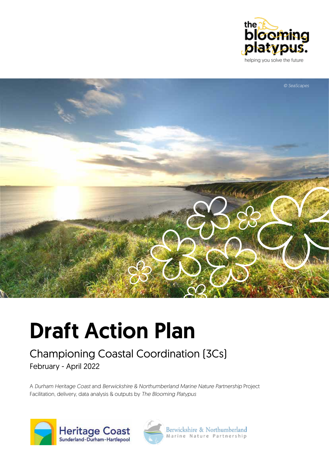



# Draft Action Plan

### Championing Coastal Coordination (3Cs) February - April 2022

A *Durham Heritage Coast* and *Berwickshire & Northumberland Marine Nature Partnership* Project Facilitation, delivery, data analysis & outputs by *The Blooming Platypus*





Berwickshire & Northumberland<br>Marine Nature Partnership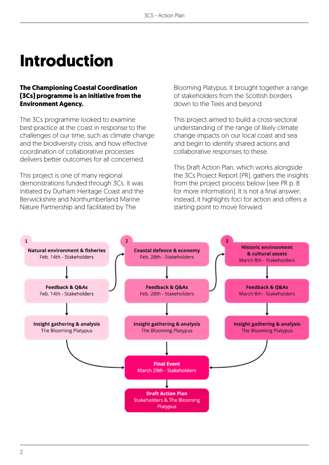# **Introduction**

#### **The Championing Coastal Coordination (3Cs) programme is an initiative from the Environment Agency.**

The 3Cs programme looked to examine best-practice at the coast in response to the challenges of our time, such as climate change and the biodiversity crisis, and how effective coordination of collaborative processes delivers better outcomes for all concerned.

This project is one of many regional demonstrations funded through 3Cs. It was initiated by Durham Heritage Coast and the Berwickshire and Northumberland Marine Nature Partnership and facilitated by The

Blooming Platypus. It brought together a range of stakeholders from the Scottish borders down to the Tees and beyond.

This project aimed to build a cross-sectoral understanding of the range of likely climate change impacts on our local coast and sea and begin to identify shared actions and collaborative responses to these.

This Draft Action Plan, which works alongside the 3Cs Project Report (PR), gathers the insights from the project process below (see PR p. 8 for more information). It is not a final answer; instead, it highlights foci for action and offers a starting point to move forward.

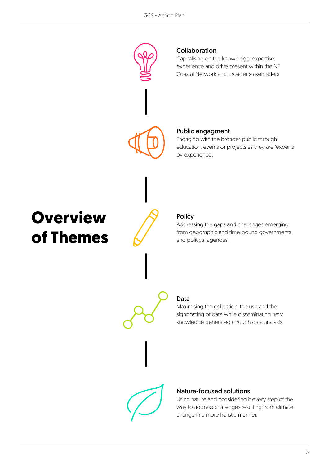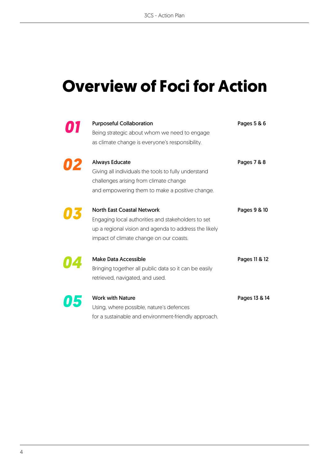## **Overview of Foci for Action**

| <b>Purposeful Collaboration</b><br>Being strategic about whom we need to engage<br>as climate change is everyone's responsibility.                                                          | Pages 5 & 6   |
|---------------------------------------------------------------------------------------------------------------------------------------------------------------------------------------------|---------------|
| <b>Always Educate</b><br>Giving all individuals the tools to fully understand<br>challenges arising from climate change<br>and empowering them to make a positive change.                   | Pages 7 & 8   |
| <b>North East Coastal Network</b><br>Engaging local authorities and stakeholders to set<br>up a regional vision and agenda to address the likely<br>impact of climate change on our coasts. | Pages 9 & 10  |
| <b>Make Data Accessible</b><br>Bringing together all public data so it can be easily<br>retrieved, navigated, and used.                                                                     | Pages 11 & 12 |
| <b>Work with Nature</b><br>Using, where possible, nature's defences<br>for a sustainable and environment-friendly approach.                                                                 | Pages 13 & 14 |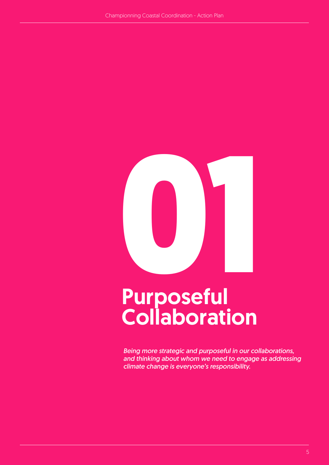

# Collaboration

*Being more strategic and purposeful in our collaborations, and thinking about whom we need to engage as addressing climate change is everyone's responsibility.*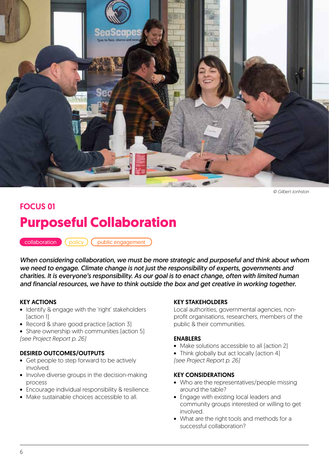

*© Gilbert Jonhston*

### FOCUS 01 **Purposeful Collaboration**

collaboration (policy) ( public engagement

*When considering collaboration, we must be more strategic and purposeful and think about whom we need to engage. Climate change is not just the responsibility of experts, governments and charities. It is everyone's responsibility. As our goal is to enact change, often with limited human and financial resources, we have to think outside the box and get creative in working together.* 

#### KEY ACTIONS

- Identify & engage with the 'right' stakeholders (action 1)
- Record & share good practice [action 3]
- Share ownership with communities (action 5) *(see Project Report p. 26)*

#### DESIRED OUTCOMES/OUTPUTS

- Get people to step forward to be actively involved.
- Involve diverse groups in the decision-making process
- Encourage individual responsibility & resilience.
- Make sustainable choices accessible to all.

#### KEY STAKEHOLDERS

Local authorities, governmental agencies, nonprofit organisations, researchers, members of the public & their communities.

#### ENABLERS

- Make solutions accessible to all (action 2)
- Think globally but act locally [action 4] *(see Project Report p. 26)*

- Who are the representatives/people missing around the table?
- Engage with existing local leaders and community groups interested or willing to get involved.
- What are the right tools and methods for a successful collaboration?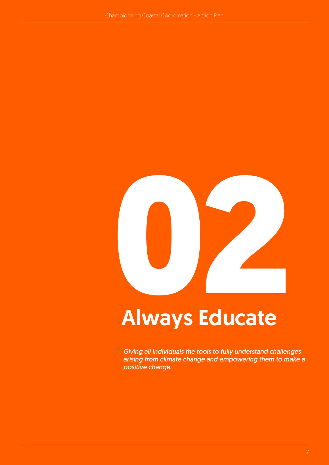

*Giving all individuals the tools to fully understand challenges arising from climate change and empowering them to make a positive change.*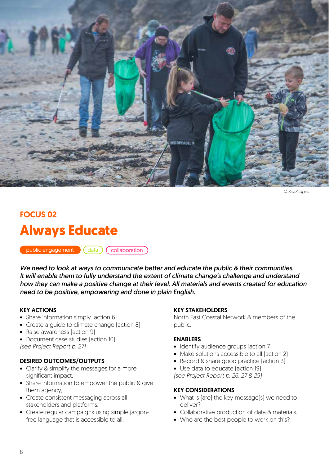

*© SeaScapes*

### FOCUS 02 **Always Educate**

public engagement

 $\int$  data  $\int$  collaboration

*We need to look at ways to communicate better and educate the public & their communities. It will enable them to fully understand the extent of climate change's challenge and understand how they can make a positive change at their level. All materials and events created for education need to be positive, empowering and done in plain English.* 

#### KEY ACTIONS

- Share information simply [action 6]
- Create a quide to climate change (action 8)
- Raise awareness (action 9)
- Document case studies (action 10) *(see Project Report p. 27)*

#### DESIRED OUTCOMES/OUTPUTS

- Clarify & simplify the messages for a more significant impact,
- Share information to empower the public & give them agency,
- Create consistent messaging across all stakeholders and platforms,
- Create regular campaigns using simple jargonfree language that is accessible to all.

#### KEY STAKEHOLDERS

North East Coastal Network & members of the public.

#### ENABLERS

- Identify audience groups (action 7)
- Make solutions accessible to all (action 2)
- Record & share good practice faction 31
- Use data to educate (action 19)

*(see Project Report p. 26, 27 & 29)*

- What is (are) the key message(s) we need to deliver?
- Collaborative production of data & materials.
- Who are the best people to work on this?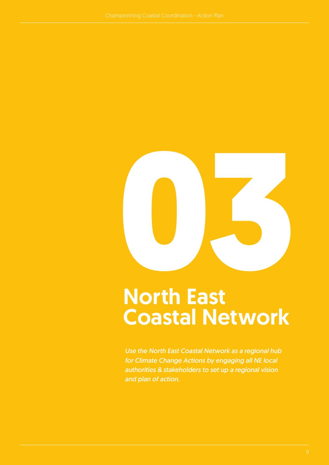

# North East Coastal Network

*Use the North East Coastal Network as a regional hub for Climate Change Actions by engaging all NE local authorities & stakeholders to set up a regional vision and plan of action.*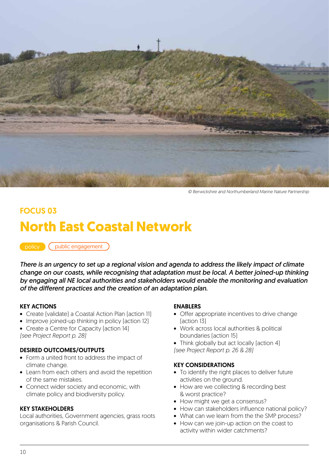

*© Berwickshire and Northumberland Marine Nature Partnership*

### FOCUS 03 **North East Coastal Network**

policy (public engagement

*There is an urgency to set up a regional vision and agenda to address the likely impact of climate change on our coasts, while recognising that adaptation must be local. A better joined-up thinking by engaging all NE local authorities and stakeholders would enable the monitoring and evaluation of the different practices and the creation of an adaptation plan.* 

#### KEY ACTIONS

- Create (validate) a Coastal Action Plan (action 11)
- Improve joined-up thinking in policy [action 12]
- Create a Centre for Capacity (action 14) *(see Project Report p. 28)*

#### DESIRED OUTCOMES/OUTPUTS

- Form a united front to address the impact of climate change.
- Learn from each others and avoid the repetition of the same mistakes.
- Connect wider society and economic, with climate policy and biodiversity policy.

#### KEY STAKEHOLDERS

Local authorities, Government agencies, grass roots organisations & Parish Council.

#### ENABLERS

- Offer appropriate incentives to drive change (action 13)
- Work across local authorities & political boundaries (action 15)
- Think globally but act locally [action 4] *(see Project Report p. 26 & 28)*

- To identify the right places to deliver future activities on the ground.
- How are we collecting & recording best & worst practice?
- How might we get a consensus?
- How can stakeholders influence national policy?
- What can we learn from the the SMP process?
- How can we join-up action on the coast to activity within wider catchments?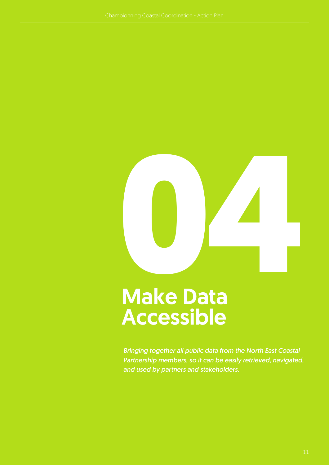

# Make Data Accessible

*Bringing together all public data from the North East Coastal Partnership members, so it can be easily retrieved, navigated, and used by partners and stakeholders.*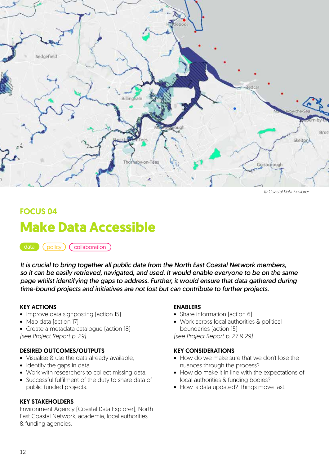

*© Coastal Data Explorer*

### FOCUS 04 **Make Data Accessible**

data (policy) (collaboration

*It is crucial to bring together all public data from the North East Coastal Network members, so it can be easily retrieved, navigated, and used. It would enable everyone to be on the same page whilst identifying the gaps to address. Further, it would ensure that data gathered during time-bound projects and initiatives are not lost but can contribute to further projects.*

#### KEY ACTIONS

- Improve data signposting [action 15]
- Map data [action 17]
- Create a metadata catalogue (action 18)
- *(see Project Report p. 29)*

#### DESIRED OUTCOMES/OUTPUTS

- Visualise & use the data already available,
- Identify the gaps in data,
- Work with researchers to collect missing data,
- Successful fulfilment of the duty to share data of public funded projects.

#### KEY STAKEHOLDERS

Environment Agency (Coastal Data Explorer), North East Coastal Network, academia, local authorities & funding agencies.

#### ENABLERS

- Share information [action 6]
- Work across local authorities & political boundaries (action 15)

*(see Project Report p. 27 & 29)*

- How do we make sure that we don't lose the nuances through the process?
- How do make it in line with the expectations of local authorities & funding bodies?
- How is data updated? Things move fast.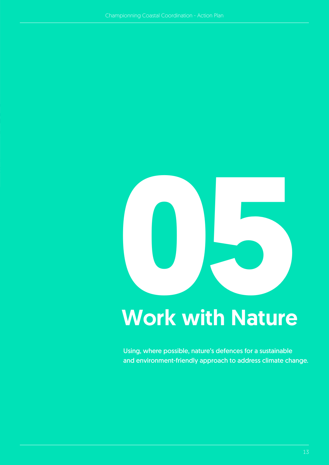

Using, where possible, nature's defences for a sustainable and environment-friendly approach to address climate change.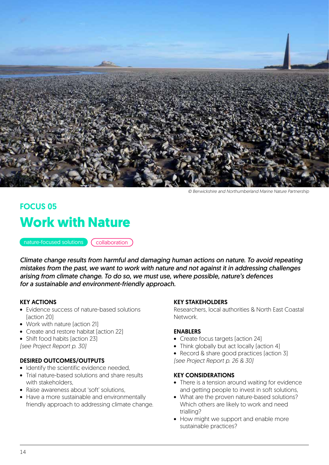

*© Berwickshire and Northumberland Marine Nature Partnership*

### FOCUS 05 **Work with Nature**

nature-focused solutions (collaboration

*Climate change results from harmful and damaging human actions on nature. To avoid repeating mistakes from the past, we want to work with nature and not against it in addressing challenges arising from climate change. To do so, we must use, where possible, nature's defences for a sustainable and environment-friendly approach.* 

#### KEY ACTIONS

- Evidence success of nature-based solutions (action 20)
- Work with nature (action 21)
- Create and restore habitat (action 22)
- Shift food habits (action 23)
- *(see Project Report p. 30)*

#### DESIRED OUTCOMES/OUTPUTS

- Identify the scientific evidence needed,
- Trial nature-based solutions and share results with stakeholders.
- Raise awareness about 'soft' solutions
- Have a more sustainable and environmentally friendly approach to addressing climate change.

#### KEY STAKEHOLDERS

Researchers, local authorities & North East Coastal Network.

#### ENABLERS

- Create focus targets (action 24)
- Think globally but act locally faction 4)
- Record & share good practices [action 3] *(see Project Report p. 26 & 30)*

- There is a tension around waiting for evidence and getting people to invest in soft solutions,
- What are the proven nature-based solutions? Which others are likely to work and need trialling?
- How might we support and enable more sustainable practices?